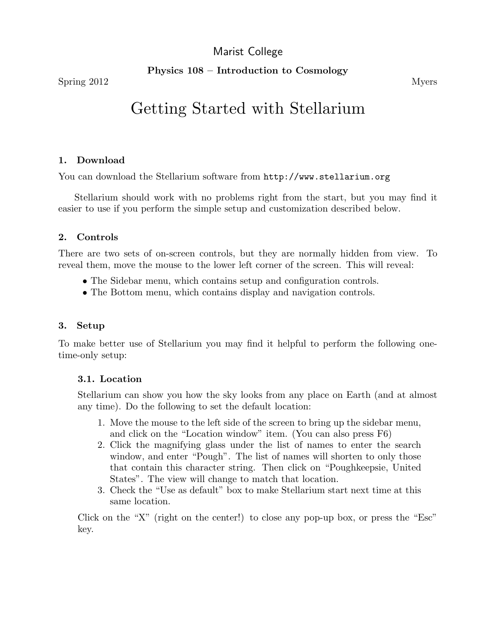# Marist College

Physics 108 – Introduction to Cosmology

# Getting Started with Stellarium

#### 1. Download

You can download the Stellarium software from http://www.stellarium.org

Stellarium should work with no problems right from the start, but you may find it easier to use if you perform the simple setup and customization described below.

#### 2. Controls

There are two sets of on-screen controls, but they are normally hidden from view. To reveal them, move the mouse to the lower left corner of the screen. This will reveal:

- The Sidebar menu, which contains setup and configuration controls.
- The Bottom menu, which contains display and navigation controls.

#### 3. Setup

To make better use of Stellarium you may find it helpful to perform the following onetime-only setup:

## 3.1. Location

Stellarium can show you how the sky looks from any place on Earth (and at almost any time). Do the following to set the default location:

- 1. Move the mouse to the left side of the screen to bring up the sidebar menu, and click on the "Location window" item. (You can also press F6)
- 2. Click the magnifying glass under the list of names to enter the search window, and enter "Pough". The list of names will shorten to only those that contain this character string. Then click on "Poughkeepsie, United States". The view will change to match that location.
- 3. Check the "Use as default" box to make Stellarium start next time at this same location.

Click on the "X" (right on the center!) to close any pop-up box, or press the "Esc" key.